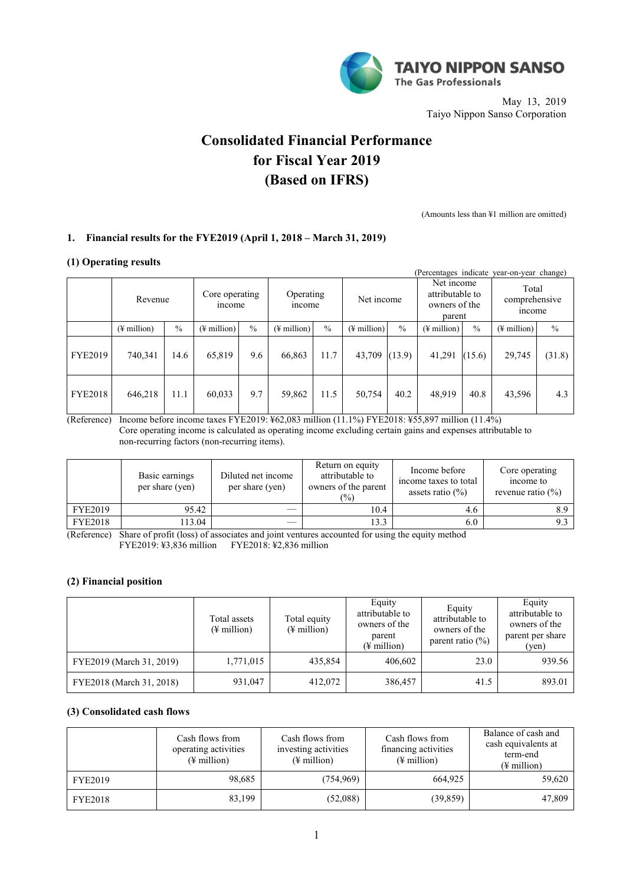

May 13, 2019 Taiyo Nippon Sanso Corporation

# **Consolidated Financial Performance for Fiscal Year 2019 (Based on IFRS)**

(Amounts less than ¥1 million are omitted)

# **1. Financial results for the FYE2019 (April 1, 2018 – March 31, 2019)**

### **(1) Operating results**

|                |                         |               |                          |               |                         |               |                         |               | (Percentages indicate)                                   |               | year-on-year change)             |               |  |
|----------------|-------------------------|---------------|--------------------------|---------------|-------------------------|---------------|-------------------------|---------------|----------------------------------------------------------|---------------|----------------------------------|---------------|--|
|                | Revenue                 |               | Core operating<br>income |               | Operating<br>mcome      |               | Net income              |               | Net income<br>attributable to<br>owners of the<br>parent |               | Total<br>comprehensive<br>income |               |  |
|                | $(\frac{1}{2})$ million | $\frac{0}{0}$ | $(\frac{1}{2})$ million  | $\frac{0}{0}$ | $(\frac{1}{2})$ million | $\frac{0}{0}$ | $(\frac{1}{2})$ million | $\frac{0}{0}$ | $(\frac{1}{2})$ million                                  | $\frac{0}{0}$ | $(\frac{1}{2})$ million          | $\frac{0}{0}$ |  |
| <b>FYE2019</b> | 740,341                 | 14.6          | 65,819                   | 9.6           | 66,863                  | 11.7          | 43,709                  | (13.9)        | 41,291                                                   | (15.6)        | 29,745                           | (31.8)        |  |
| <b>FYE2018</b> | 646,218                 | 11.1          | 60,033                   | 9.7           | 59,862                  | 11.5          | 50,754                  | 40.2          | 48,919                                                   | 40.8          | 43,596                           | 4.3           |  |

(Reference) Income before income taxes FYE2019: ¥62,083 million (11.1%) FYE2018: ¥55,897 million (11.4%) Core operating income is calculated as operating income excluding certain gains and expenses attributable to non-recurring factors (non-recurring items).

|                | Basic earnings<br>per share (yen) | Diluted net income<br>per share (yen) | Return on equity<br>attributable to<br>owners of the parent<br>$\frac{1}{2}$ | Income before<br>income taxes to total<br>assets ratio $(\% )$ | Core operating<br>income to<br>revenue ratio $(\% )$ |
|----------------|-----------------------------------|---------------------------------------|------------------------------------------------------------------------------|----------------------------------------------------------------|------------------------------------------------------|
| <b>FYE2019</b> | 95.42                             |                                       | 10.4                                                                         | 4.6                                                            |                                                      |
| <b>FYE2018</b> | 13.04                             |                                       | 13.3                                                                         | 6.0                                                            |                                                      |

(Reference) Share of profit (loss) of associates and joint ventures accounted for using the equity method FYE2019: ¥3,836 million FYE2018: ¥2,836 million

### **(2) Financial position**

|                          | Total assets<br>$(\frac{1}{2}$ million) | Total equity<br>$(\frac{1}{2}$ million) | Equity<br>attributable to<br>owners of the<br>parent<br>$(\frac{1}{2})$ million) | Equity<br>attributable to<br>owners of the<br>parent ratio $(\% )$ | Equity<br>attributable to<br>owners of the<br>parent per share<br>(yen) |
|--------------------------|-----------------------------------------|-----------------------------------------|----------------------------------------------------------------------------------|--------------------------------------------------------------------|-------------------------------------------------------------------------|
| FYE2019 (March 31, 2019) | 1,771,015                               | 435,854                                 | 406.602                                                                          | 23.0                                                               | 939.56                                                                  |
| FYE2018 (March 31, 2018) | 931,047                                 | 412,072                                 | 386,457                                                                          | 41.5                                                               | 893.01                                                                  |

# **(3) Consolidated cash flows**

|                | Cash flows from<br>operating activities<br>$(\frac{1}{2}$ million) | Cash flows from<br>investing activities<br>$(\frac{1}{2})$ million | Cash flows from<br>financing activities<br>$(\frac{1}{2})$ million | Balance of cash and<br>cash equivalents at<br>term-end<br>$(\frac{1}{2})$ million |
|----------------|--------------------------------------------------------------------|--------------------------------------------------------------------|--------------------------------------------------------------------|-----------------------------------------------------------------------------------|
| <b>FYE2019</b> | 98,685                                                             | (754,969)                                                          | 664,925                                                            | 59,620                                                                            |
| FYE2018        | 83,199                                                             | (52,088)                                                           | (39, 859)                                                          | 47,809                                                                            |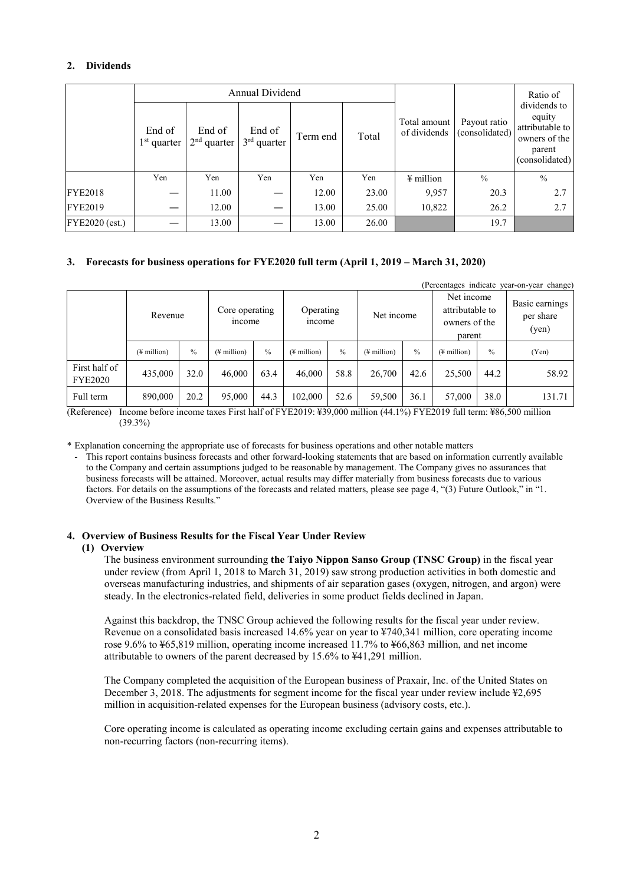# **2. Dividends**

|                |                         |                         | Annual Dividend         |          |       |                              |                                | Ratio of                                                                               |
|----------------|-------------------------|-------------------------|-------------------------|----------|-------|------------------------------|--------------------------------|----------------------------------------------------------------------------------------|
|                | End of<br>$1st$ quarter | End of<br>$2nd$ quarter | End of<br>$3rd$ quarter | Term end | Total | Total amount<br>of dividends | Payout ratio<br>(consolidated) | dividends to<br>equity<br>attributable to<br>owners of the<br>parent<br>(consolidated) |
|                | Yen                     | Yen                     | Yen                     | Yen      | Yen   | $\frac{1}{2}$ million        | $\frac{0}{0}$                  | $\frac{0}{0}$                                                                          |
| <b>FYE2018</b> |                         | 11.00                   |                         | 12.00    | 23.00 | 9,957                        | 20.3                           | 2.7                                                                                    |
| <b>FYE2019</b> |                         | 12.00                   |                         | 13.00    | 25.00 | 10,822                       | 26.2                           | 2.7                                                                                    |
| FYE2020 (est.) |                         | 13.00                   |                         | 13.00    | 26.00 |                              | 19.7                           |                                                                                        |

### **3. Forecasts for business operations for FYE2020 full term (April 1, 2019 – March 31, 2020)**

|                                 |                         |               |                          |      |                         |               |                         |               |                                                          |      | (Percentages indicate year-on-year change) |
|---------------------------------|-------------------------|---------------|--------------------------|------|-------------------------|---------------|-------------------------|---------------|----------------------------------------------------------|------|--------------------------------------------|
|                                 | Revenue                 |               | Core operating<br>income |      | Operating<br>mcome      |               | Net income              |               | Net income<br>attributable to<br>owners of the<br>parent |      | Basic earnings<br>per share<br>(yen)       |
|                                 | $(\frac{1}{2}$ million) | $\frac{0}{0}$ | $(\frac{1}{2})$ million  | $\%$ | $(\frac{1}{2})$ million | $\frac{0}{0}$ | $(\frac{1}{2})$ million | $\frac{0}{0}$ | $(\frac{1}{2})$ million                                  | $\%$ | (Yen)                                      |
| First half of<br><b>FYE2020</b> | 435,000                 | 32.0          | 46.000                   | 63.4 | 46,000                  | 58.8          | 26,700                  | 42.6          | 25,500                                                   | 44.2 | 58.92                                      |
| Full term                       | 890,000                 | 20.2          | 95,000                   | 44.3 | 102,000                 | 52.6          | 59,500                  | 36.1          | 57,000                                                   | 38.0 | 131.71                                     |

(Reference) Income before income taxes First half of FYE2019: ¥39,000 million (44.1%) FYE2019 full term: ¥86,500 million (39.3%)

\* Explanation concerning the appropriate use of forecasts for business operations and other notable matters

- This report contains business forecasts and other forward-looking statements that are based on information currently available to the Company and certain assumptions judged to be reasonable by management. The Company gives no assurances that business forecasts will be attained. Moreover, actual results may differ materially from business forecasts due to various factors. For details on the assumptions of the forecasts and related matters, please see page 4, "(3) Future Outlook," in "1. Overview of the Business Results."

### **4. Overview of Business Results for the Fiscal Year Under Review**

#### **(1) Overview**

The business environment surrounding **the Taiyo Nippon Sanso Group (TNSC Group)** in the fiscal year under review (from April 1, 2018 to March 31, 2019) saw strong production activities in both domestic and overseas manufacturing industries, and shipments of air separation gases (oxygen, nitrogen, and argon) were steady. In the electronics-related field, deliveries in some product fields declined in Japan.

Against this backdrop, the TNSC Group achieved the following results for the fiscal year under review. Revenue on a consolidated basis increased 14.6% year on year to ¥740,341 million, core operating income rose 9.6% to ¥65,819 million, operating income increased 11.7% to ¥66,863 million, and net income attributable to owners of the parent decreased by 15.6% to ¥41,291 million.

The Company completed the acquisition of the European business of Praxair, Inc. of the United States on December 3, 2018. The adjustments for segment income for the fiscal year under review include ¥2,695 million in acquisition-related expenses for the European business (advisory costs, etc.).

Core operating income is calculated as operating income excluding certain gains and expenses attributable to non-recurring factors (non-recurring items).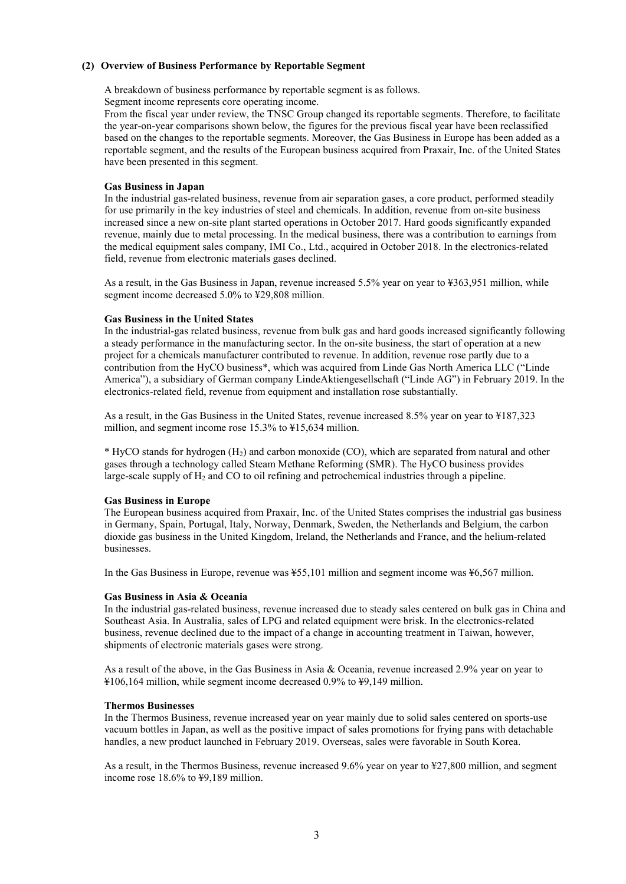### **(2) Overview of Business Performance by Reportable Segment**

A breakdown of business performance by reportable segment is as follows. Segment income represents core operating income.

From the fiscal year under review, the TNSC Group changed its reportable segments. Therefore, to facilitate the year-on-year comparisons shown below, the figures for the previous fiscal year have been reclassified based on the changes to the reportable segments. Moreover, the Gas Business in Europe has been added as a reportable segment, and the results of the European business acquired from Praxair, Inc. of the United States have been presented in this segment.

### **Gas Business in Japan**

In the industrial gas-related business, revenue from air separation gases, a core product, performed steadily for use primarily in the key industries of steel and chemicals. In addition, revenue from on-site business increased since a new on-site plant started operations in October 2017. Hard goods significantly expanded revenue, mainly due to metal processing. In the medical business, there was a contribution to earnings from the medical equipment sales company, IMI Co., Ltd., acquired in October 2018. In the electronics-related field, revenue from electronic materials gases declined.

As a result, in the Gas Business in Japan, revenue increased 5.5% year on year to ¥363,951 million, while segment income decreased 5.0% to ¥29,808 million.

#### **Gas Business in the United States**

In the industrial-gas related business, revenue from bulk gas and hard goods increased significantly following a steady performance in the manufacturing sector. In the on-site business, the start of operation at a new project for a chemicals manufacturer contributed to revenue. In addition, revenue rose partly due to a contribution from the HyCO business\*, which was acquired from Linde Gas North America LLC ("Linde America"), a subsidiary of German company LindeAktiengesellschaft ("Linde AG") in February 2019. In the electronics-related field, revenue from equipment and installation rose substantially.

As a result, in the Gas Business in the United States, revenue increased 8.5% year on year to ¥187,323 million, and segment income rose 15.3% to ¥15,634 million.

 $*$  HyCO stands for hydrogen  $(H<sub>2</sub>)$  and carbon monoxide (CO), which are separated from natural and other gases through a technology called Steam Methane Reforming (SMR). The HyCO business provides large-scale supply of H<sub>2</sub> and CO to oil refining and petrochemical industries through a pipeline.

### **Gas Business in Europe**

The European business acquired from Praxair, Inc. of the United States comprises the industrial gas business in Germany, Spain, Portugal, Italy, Norway, Denmark, Sweden, the Netherlands and Belgium, the carbon dioxide gas business in the United Kingdom, Ireland, the Netherlands and France, and the helium-related businesses.

In the Gas Business in Europe, revenue was ¥55,101 million and segment income was ¥6,567 million.

### **Gas Business in Asia & Oceania**

In the industrial gas-related business, revenue increased due to steady sales centered on bulk gas in China and Southeast Asia. In Australia, sales of LPG and related equipment were brisk. In the electronics-related business, revenue declined due to the impact of a change in accounting treatment in Taiwan, however, shipments of electronic materials gases were strong.

As a result of the above, in the Gas Business in Asia & Oceania, revenue increased 2.9% year on year to ¥106,164 million, while segment income decreased 0.9% to ¥9,149 million.

# **Thermos Businesses**

In the Thermos Business, revenue increased year on year mainly due to solid sales centered on sports-use vacuum bottles in Japan, as well as the positive impact of sales promotions for frying pans with detachable handles, a new product launched in February 2019. Overseas, sales were favorable in South Korea.

As a result, in the Thermos Business, revenue increased 9.6% year on year to ¥27,800 million, and segment income rose 18.6% to ¥9,189 million.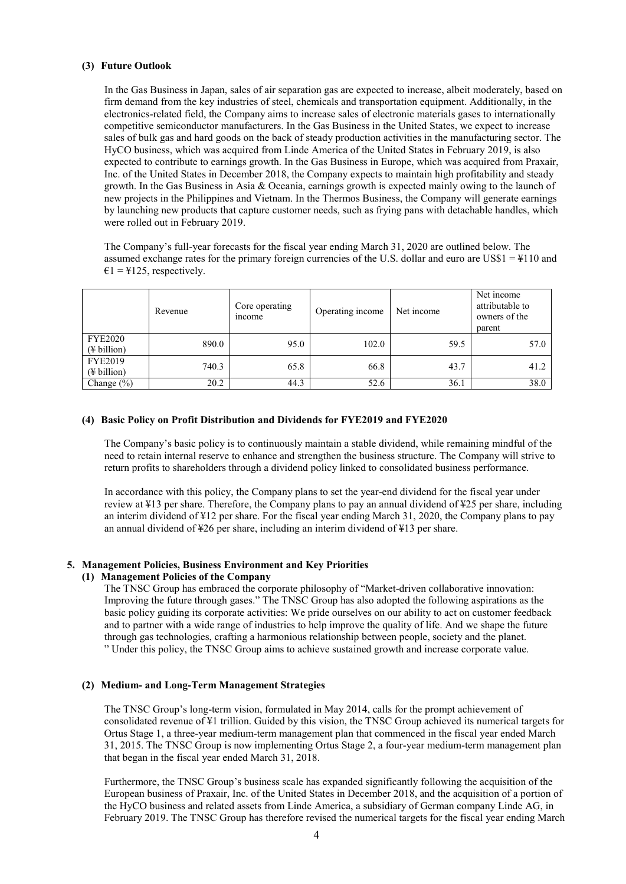### **(3) Future Outlook**

In the Gas Business in Japan, sales of air separation gas are expected to increase, albeit moderately, based on firm demand from the key industries of steel, chemicals and transportation equipment. Additionally, in the electronics-related field, the Company aims to increase sales of electronic materials gases to internationally competitive semiconductor manufacturers. In the Gas Business in the United States, we expect to increase sales of bulk gas and hard goods on the back of steady production activities in the manufacturing sector. The HyCO business, which was acquired from Linde America of the United States in February 2019, is also expected to contribute to earnings growth. In the Gas Business in Europe, which was acquired from Praxair, Inc. of the United States in December 2018, the Company expects to maintain high profitability and steady growth. In the Gas Business in Asia & Oceania, earnings growth is expected mainly owing to the launch of new projects in the Philippines and Vietnam. In the Thermos Business, the Company will generate earnings by launching new products that capture customer needs, such as frying pans with detachable handles, which were rolled out in February 2019.

The Company's full-year forecasts for the fiscal year ending March 31, 2020 are outlined below. The assumed exchange rates for the primary foreign currencies of the U.S. dollar and euro are US\$1 = ¥110 and  $\epsilon$ 1 = ¥125, respectively.

|                                           | Revenue | Core operating<br>income | Operating income | Net income | Net income<br>attributable to<br>owners of the<br>parent |
|-------------------------------------------|---------|--------------------------|------------------|------------|----------------------------------------------------------|
| <b>FYE2020</b><br>$(\frac{1}{2}$ billion) | 890.0   | 95.0                     | 102.0            | 59.5       | 57.0                                                     |
| <b>FYE2019</b><br>$(\frac{1}{2}$ billion) | 740.3   | 65.8                     | 66.8             | 43.7       | 41.2                                                     |
| Change $(\% )$                            | 20.2    | 44.3                     | 52.6             | 36.1       | 38.0                                                     |

### **(4) Basic Policy on Profit Distribution and Dividends for FYE2019 and FYE2020**

The Company's basic policy is to continuously maintain a stable dividend, while remaining mindful of the need to retain internal reserve to enhance and strengthen the business structure. The Company will strive to return profits to shareholders through a dividend policy linked to consolidated business performance.

In accordance with this policy, the Company plans to set the year-end dividend for the fiscal year under review at ¥13 per share. Therefore, the Company plans to pay an annual dividend of ¥25 per share, including an interim dividend of ¥12 per share. For the fiscal year ending March 31, 2020, the Company plans to pay an annual dividend of ¥26 per share, including an interim dividend of ¥13 per share.

### **5. Management Policies, Business Environment and Key Priorities**

### **(1) Management Policies of the Company**

The TNSC Group has embraced the corporate philosophy of "Market-driven collaborative innovation: Improving the future through gases." The TNSC Group has also adopted the following aspirations as the basic policy guiding its corporate activities: We pride ourselves on our ability to act on customer feedback and to partner with a wide range of industries to help improve the quality of life. And we shape the future through gas technologies, crafting a harmonious relationship between people, society and the planet. " Under this policy, the TNSC Group aims to achieve sustained growth and increase corporate value.

# **(2) Medium- and Long-Term Management Strategies**

The TNSC Group's long-term vision, formulated in May 2014, calls for the prompt achievement of consolidated revenue of ¥1 trillion. Guided by this vision, the TNSC Group achieved its numerical targets for Ortus Stage 1, a three-year medium-term management plan that commenced in the fiscal year ended March 31, 2015. The TNSC Group is now implementing Ortus Stage 2, a four-year medium-term management plan that began in the fiscal year ended March 31, 2018.

Furthermore, the TNSC Group's business scale has expanded significantly following the acquisition of the European business of Praxair, Inc. of the United States in December 2018, and the acquisition of a portion of the HyCO business and related assets from Linde America, a subsidiary of German company Linde AG, in February 2019. The TNSC Group has therefore revised the numerical targets for the fiscal year ending March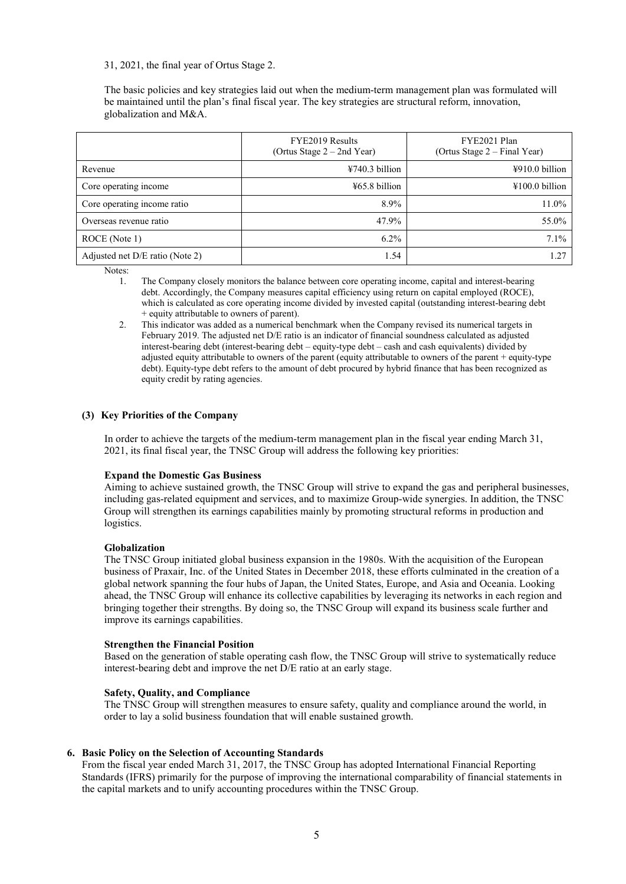31, 2021, the final year of Ortus Stage 2.

The basic policies and key strategies laid out when the medium-term management plan was formulated will be maintained until the plan's final fiscal year. The key strategies are structural reform, innovation, globalization and M&A.

|                                 | FYE2019 Results<br>(Ortus Stage $2 - 2nd$ Year) | FYE2021 Plan<br>(Ortus Stage $2$ – Final Year) |  |  |
|---------------------------------|-------------------------------------------------|------------------------------------------------|--|--|
| Revenue                         | ¥740.3 billion                                  | ¥910.0 billion                                 |  |  |
| Core operating income           | $\frac{1}{2}65.8 \text{ billion}$               | $\text{\#}100.0$ billion                       |  |  |
| Core operating income ratio     | 8.9%                                            | 11.0%                                          |  |  |
| Overseas revenue ratio          | 47.9%                                           | 55.0%                                          |  |  |
| ROCE (Note 1)                   | $6.2\%$                                         | $7.1\%$                                        |  |  |
| Adjusted net D/E ratio (Note 2) | 1.54                                            | 1.27                                           |  |  |

Notes:

- 1. The Company closely monitors the balance between core operating income, capital and interest-bearing debt. Accordingly, the Company measures capital efficiency using return on capital employed (ROCE), which is calculated as core operating income divided by invested capital (outstanding interest-bearing debt + equity attributable to owners of parent).
- 2. This indicator was added as a numerical benchmark when the Company revised its numerical targets in February 2019. The adjusted net D/E ratio is an indicator of financial soundness calculated as adjusted interest-bearing debt (interest-bearing debt – equity-type debt – cash and cash equivalents) divided by adjusted equity attributable to owners of the parent (equity attributable to owners of the parent + equity-type debt). Equity-type debt refers to the amount of debt procured by hybrid finance that has been recognized as equity credit by rating agencies.

#### **(3) Key Priorities of the Company**

In order to achieve the targets of the medium-term management plan in the fiscal year ending March 31, 2021, its final fiscal year, the TNSC Group will address the following key priorities:

### **Expand the Domestic Gas Business**

Aiming to achieve sustained growth, the TNSC Group will strive to expand the gas and peripheral businesses, including gas-related equipment and services, and to maximize Group-wide synergies. In addition, the TNSC Group will strengthen its earnings capabilities mainly by promoting structural reforms in production and logistics.

#### **Globalization**

The TNSC Group initiated global business expansion in the 1980s. With the acquisition of the European business of Praxair, Inc. of the United States in December 2018, these efforts culminated in the creation of a global network spanning the four hubs of Japan, the United States, Europe, and Asia and Oceania. Looking ahead, the TNSC Group will enhance its collective capabilities by leveraging its networks in each region and bringing together their strengths. By doing so, the TNSC Group will expand its business scale further and improve its earnings capabilities.

#### **Strengthen the Financial Position**

Based on the generation of stable operating cash flow, the TNSC Group will strive to systematically reduce interest-bearing debt and improve the net D/E ratio at an early stage.

#### **Safety, Quality, and Compliance**

The TNSC Group will strengthen measures to ensure safety, quality and compliance around the world, in order to lay a solid business foundation that will enable sustained growth.

### **6. Basic Policy on the Selection of Accounting Standards**

From the fiscal year ended March 31, 2017, the TNSC Group has adopted International Financial Reporting Standards (IFRS) primarily for the purpose of improving the international comparability of financial statements in the capital markets and to unify accounting procedures within the TNSC Group.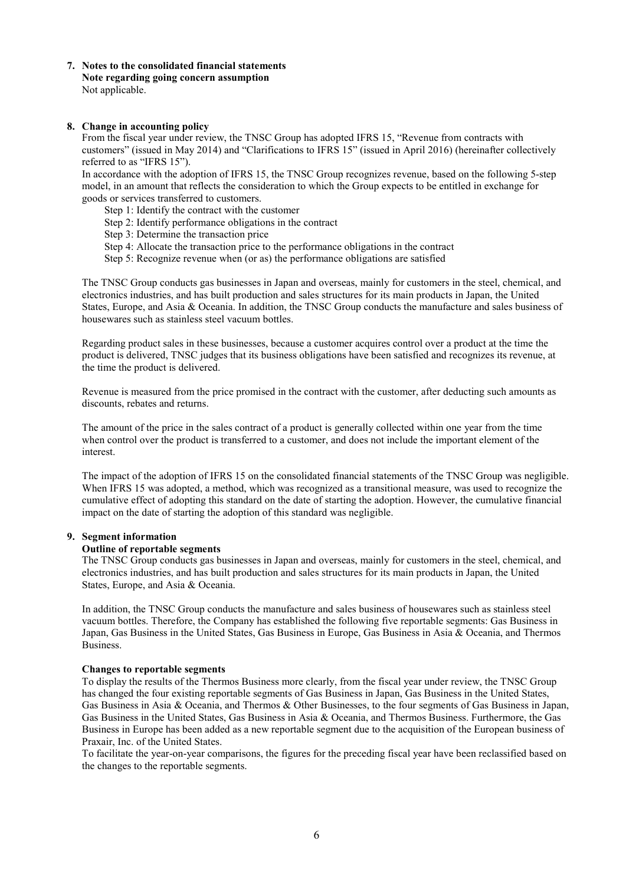**7. Notes to the consolidated financial statements Note regarding going concern assumption** Not applicable.

### **8. Change in accounting policy**

From the fiscal year under review, the TNSC Group has adopted IFRS 15, "Revenue from contracts with customers" (issued in May 2014) and "Clarifications to IFRS 15" (issued in April 2016) (hereinafter collectively referred to as "IFRS 15").

In accordance with the adoption of IFRS 15, the TNSC Group recognizes revenue, based on the following 5-step model, in an amount that reflects the consideration to which the Group expects to be entitled in exchange for goods or services transferred to customers.

- Step 1: Identify the contract with the customer
- Step 2: Identify performance obligations in the contract
- Step 3: Determine the transaction price
- Step 4: Allocate the transaction price to the performance obligations in the contract
- Step 5: Recognize revenue when (or as) the performance obligations are satisfied

The TNSC Group conducts gas businesses in Japan and overseas, mainly for customers in the steel, chemical, and electronics industries, and has built production and sales structures for its main products in Japan, the United States, Europe, and Asia & Oceania. In addition, the TNSC Group conducts the manufacture and sales business of housewares such as stainless steel vacuum bottles.

Regarding product sales in these businesses, because a customer acquires control over a product at the time the product is delivered, TNSC judges that its business obligations have been satisfied and recognizes its revenue, at the time the product is delivered.

Revenue is measured from the price promised in the contract with the customer, after deducting such amounts as discounts, rebates and returns.

The amount of the price in the sales contract of a product is generally collected within one year from the time when control over the product is transferred to a customer, and does not include the important element of the interest.

The impact of the adoption of IFRS 15 on the consolidated financial statements of the TNSC Group was negligible. When IFRS 15 was adopted, a method, which was recognized as a transitional measure, was used to recognize the cumulative effect of adopting this standard on the date of starting the adoption. However, the cumulative financial impact on the date of starting the adoption of this standard was negligible.

### **9. Segment information**

#### **Outline of reportable segments**

The TNSC Group conducts gas businesses in Japan and overseas, mainly for customers in the steel, chemical, and electronics industries, and has built production and sales structures for its main products in Japan, the United States, Europe, and Asia & Oceania.

In addition, the TNSC Group conducts the manufacture and sales business of housewares such as stainless steel vacuum bottles. Therefore, the Company has established the following five reportable segments: Gas Business in Japan, Gas Business in the United States, Gas Business in Europe, Gas Business in Asia & Oceania, and Thermos Business.

#### **Changes to reportable segments**

To display the results of the Thermos Business more clearly, from the fiscal year under review, the TNSC Group has changed the four existing reportable segments of Gas Business in Japan, Gas Business in the United States, Gas Business in Asia & Oceania, and Thermos & Other Businesses, to the four segments of Gas Business in Japan, Gas Business in the United States, Gas Business in Asia & Oceania, and Thermos Business. Furthermore, the Gas Business in Europe has been added as a new reportable segment due to the acquisition of the European business of Praxair, Inc. of the United States.

To facilitate the year-on-year comparisons, the figures for the preceding fiscal year have been reclassified based on the changes to the reportable segments.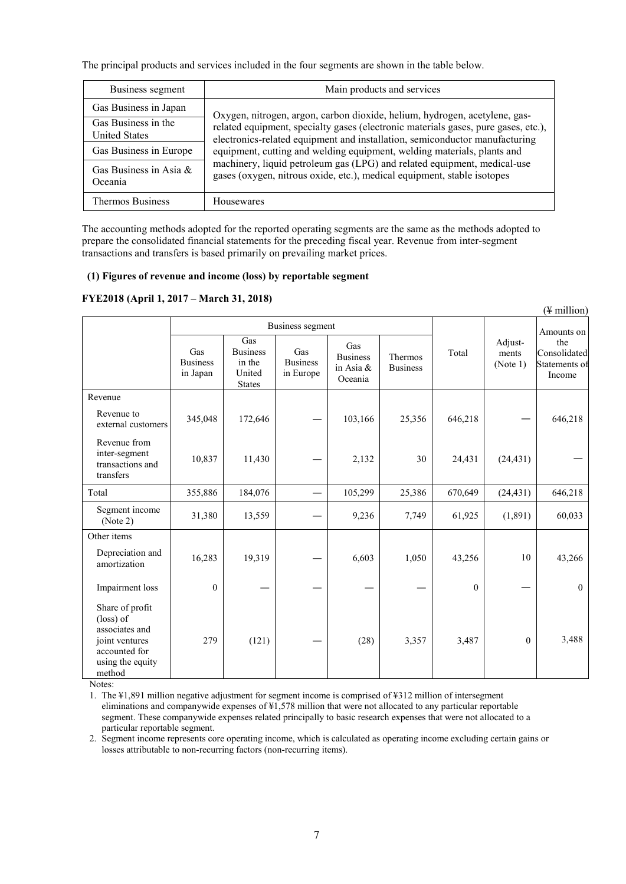The principal products and services included in the four segments are shown in the table below.

| Business segment                            | Main products and services                                                                                                                                        |  |  |  |  |  |
|---------------------------------------------|-------------------------------------------------------------------------------------------------------------------------------------------------------------------|--|--|--|--|--|
| Gas Business in Japan                       | Oxygen, nitrogen, argon, carbon dioxide, helium, hydrogen, acetylene, gas-                                                                                        |  |  |  |  |  |
| Gas Business in the<br><b>United States</b> | related equipment, specialty gases (electronic materials gases, pure gases, etc.),<br>electronics-related equipment and installation, semiconductor manufacturing |  |  |  |  |  |
| Gas Business in Europe                      | equipment, cutting and welding equipment, welding materials, plants and                                                                                           |  |  |  |  |  |
| Gas Business in Asia $\&$<br>Oceania        | machinery, liquid petroleum gas (LPG) and related equipment, medical-use<br>gases (oxygen, nitrous oxide, etc.), medical equipment, stable isotopes               |  |  |  |  |  |
| <b>Thermos Business</b>                     | Housewares                                                                                                                                                        |  |  |  |  |  |

The accounting methods adopted for the reported operating segments are the same as the methods adopted to prepare the consolidated financial statements for the preceding fiscal year. Revenue from inter-segment transactions and transfers is based primarily on prevailing market prices.

# **(1) Figures of revenue and income (loss) by reportable segment**

# **FYE2018 (April 1, 2017 – March 31, 2018)**

|                                                                                                                 |                                    |                                                             |                                     |                                                   |                            |              |                              | $(\frac{1}{2})$ million                        |
|-----------------------------------------------------------------------------------------------------------------|------------------------------------|-------------------------------------------------------------|-------------------------------------|---------------------------------------------------|----------------------------|--------------|------------------------------|------------------------------------------------|
|                                                                                                                 |                                    |                                                             | Business segment                    |                                                   |                            |              |                              | Amounts on                                     |
|                                                                                                                 | Gas<br><b>Business</b><br>in Japan | Gas<br><b>Business</b><br>in the<br>United<br><b>States</b> | Gas<br><b>Business</b><br>in Europe | Gas<br><b>Business</b><br>in Asia $\&$<br>Oceania | Thermos<br><b>Business</b> | Total        | Adjust-<br>ments<br>(Note 1) | the<br>Consolidated<br>Statements of<br>Income |
| Revenue                                                                                                         |                                    |                                                             |                                     |                                                   |                            |              |                              |                                                |
| Revenue to<br>external customers                                                                                | 345,048                            | 172,646                                                     |                                     | 103,166                                           | 25,356                     | 646,218      |                              | 646,218                                        |
| Revenue from<br>inter-segment<br>transactions and<br>transfers                                                  | 10,837                             | 11,430                                                      |                                     | 2,132                                             | 30                         | 24,431       | (24, 431)                    |                                                |
| Total                                                                                                           | 355,886                            | 184,076                                                     |                                     | 105,299                                           | 25,386                     | 670,649      | (24, 431)                    | 646,218                                        |
| Segment income<br>(Note 2)                                                                                      | 31,380                             | 13,559                                                      |                                     | 9,236                                             | 7,749                      | 61,925       | (1,891)                      | 60,033                                         |
| Other items                                                                                                     |                                    |                                                             |                                     |                                                   |                            |              |                              |                                                |
| Depreciation and<br>amortization                                                                                | 16,283                             | 19,319                                                      |                                     | 6,603                                             | 1,050                      | 43,256       | 10                           | 43,266                                         |
| Impairment loss                                                                                                 | $\mathbf{0}$                       |                                                             |                                     |                                                   |                            | $\mathbf{0}$ |                              | $\mathbf{0}$                                   |
| Share of profit<br>(loss) of<br>associates and<br>joint ventures<br>accounted for<br>using the equity<br>method | 279                                | (121)                                                       |                                     | (28)                                              | 3,357                      | 3,487        | $\mathbf{0}$                 | 3,488                                          |

Notes:

1. The ¥1,891 million negative adjustment for segment income is comprised of ¥312 million of intersegment eliminations and companywide expenses of ¥1,578 million that were not allocated to any particular reportable segment. These companywide expenses related principally to basic research expenses that were not allocated to a particular reportable segment.

2. Segment income represents core operating income, which is calculated as operating income excluding certain gains or losses attributable to non-recurring factors (non-recurring items).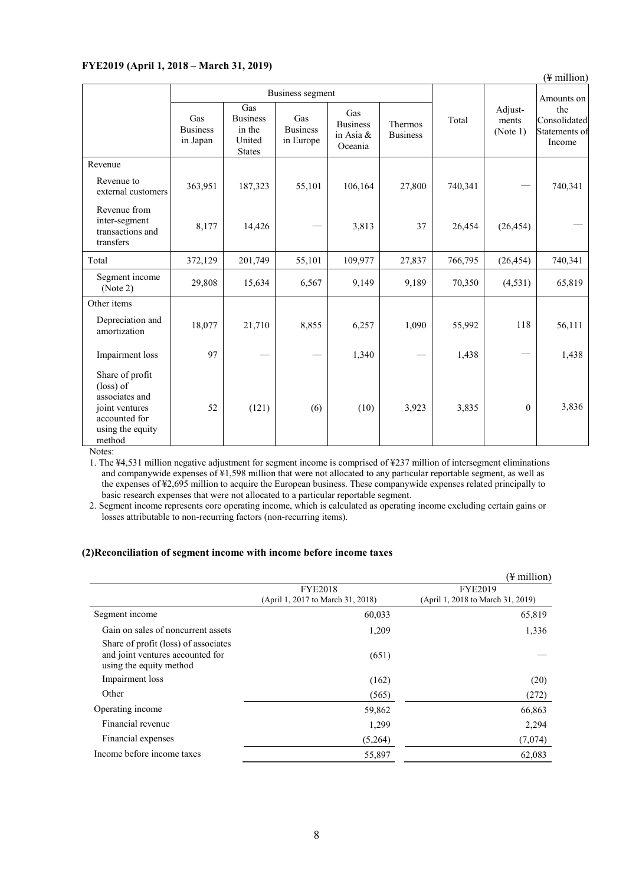# **FYE2019 (April 1, 2018 – March 31, 2019)**

(¥ million)

|                                                                                                                 | Business segment                   |                                                             |                                     |                                                |                                   |         |                              | Amounts on                                     |
|-----------------------------------------------------------------------------------------------------------------|------------------------------------|-------------------------------------------------------------|-------------------------------------|------------------------------------------------|-----------------------------------|---------|------------------------------|------------------------------------------------|
|                                                                                                                 | Gas<br><b>Business</b><br>in Japan | Gas<br><b>Business</b><br>in the<br>United<br><b>States</b> | Gas<br><b>Business</b><br>in Europe | Gas<br><b>Business</b><br>in Asia &<br>Oceania | <b>Thermos</b><br><b>Business</b> | Total   | Adjust-<br>ments<br>(Note 1) | the<br>Consolidated<br>Statements of<br>Income |
| Revenue                                                                                                         |                                    |                                                             |                                     |                                                |                                   |         |                              |                                                |
| Revenue to<br>external customers                                                                                | 363,951                            | 187,323                                                     | 55,101                              | 106,164                                        | 27,800                            | 740,341 |                              | 740,341                                        |
| Revenue from<br>inter-segment<br>transactions and<br>transfers                                                  | 8,177                              | 14,426                                                      |                                     | 3,813                                          | 37                                | 26,454  | (26, 454)                    |                                                |
| Total                                                                                                           | 372,129                            | 201,749                                                     | 55,101                              | 109,977                                        | 27,837                            | 766,795 | (26, 454)                    | 740,341                                        |
| Segment income<br>(Note 2)                                                                                      | 29,808                             | 15,634                                                      | 6,567                               | 9,149                                          | 9,189                             | 70,350  | (4,531)                      | 65,819                                         |
| Other items                                                                                                     |                                    |                                                             |                                     |                                                |                                   |         |                              |                                                |
| Depreciation and<br>amortization                                                                                | 18,077                             | 21,710                                                      | 8,855                               | 6,257                                          | 1,090                             | 55,992  | 118                          | 56,111                                         |
| Impairment loss                                                                                                 | 97                                 |                                                             |                                     | 1,340                                          |                                   | 1,438   |                              | 1,438                                          |
| Share of profit<br>(loss) of<br>associates and<br>joint ventures<br>accounted for<br>using the equity<br>method | 52                                 | (121)                                                       | (6)                                 | (10)                                           | 3,923                             | 3,835   | $\theta$                     | 3,836                                          |

Notes:

1. The ¥4,531 million negative adjustment for segment income is comprised of ¥237 million of intersegment eliminations and companywide expenses of ¥1,598 million that were not allocated to any particular reportable segment, as well as the expenses of ¥2,695 million to acquire the European business. These companywide expenses related principally to basic research expenses that were not allocated to a particular reportable segment.

2. Segment income represents core operating income, which is calculated as operating income excluding certain gains or losses attributable to non-recurring factors (non-recurring items).

### **(2)Reconciliation of segment income with income before income taxes**

|                                                                                                     |                                                     | (¥ million)                                         |  |  |
|-----------------------------------------------------------------------------------------------------|-----------------------------------------------------|-----------------------------------------------------|--|--|
|                                                                                                     | <b>FYE2018</b><br>(April 1, 2017 to March 31, 2018) | <b>FYE2019</b><br>(April 1, 2018 to March 31, 2019) |  |  |
| Segment income                                                                                      | 60,033                                              | 65,819                                              |  |  |
| Gain on sales of noncurrent assets                                                                  | 1,209                                               | 1,336                                               |  |  |
| Share of profit (loss) of associates<br>and joint ventures accounted for<br>using the equity method | (651)                                               |                                                     |  |  |
| Impairment loss                                                                                     | (162)                                               | (20)                                                |  |  |
| Other                                                                                               | (565)                                               | (272)                                               |  |  |
| Operating income                                                                                    | 59,862                                              | 66,863                                              |  |  |
| Financial revenue                                                                                   | 1,299                                               | 2,294                                               |  |  |
| Financial expenses                                                                                  | (5,264)                                             | (7,074)                                             |  |  |
| Income before income taxes                                                                          | 55,897                                              | 62,083                                              |  |  |